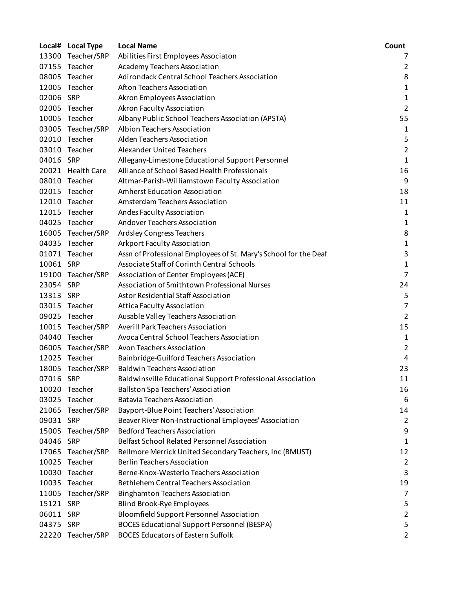|           | Local# Local Type | <b>Local Name</b>                                                | Count          |
|-----------|-------------------|------------------------------------------------------------------|----------------|
|           | 13300 Teacher/SRP | Abilities First Employees Associaton                             | 7              |
|           | 07155 Teacher     | Academy Teachers Association                                     | 2              |
|           | 08005 Teacher     | Adirondack Central School Teachers Association                   | 8              |
|           | 12005 Teacher     | Afton Teachers Association                                       | $\mathbf{1}$   |
| 02006     | SRP               | Akron Employees Association                                      | 1              |
|           | 02005 Teacher     | Akron Faculty Association                                        | $\overline{2}$ |
| 10005     | Teacher           | Albany Public School Teachers Association (APSTA)                | 55             |
|           | 03005 Teacher/SRP | Albion Teachers Association                                      | 1              |
|           | 02010 Teacher     | Alden Teachers Association                                       | 5              |
|           | 03010 Teacher     | <b>Alexander United Teachers</b>                                 | $\overline{2}$ |
| 04016 SRP |                   | Allegany-Limestone Educational Support Personnel                 | $\mathbf{1}$   |
|           | 20021 Health Care | Alliance of School Based Health Professionals                    | 16             |
|           | 08010 Teacher     | Altmar-Parish-Williamstown Faculty Association                   | 9              |
|           | 02015 Teacher     | <b>Amherst Education Association</b>                             | 18             |
|           | 12010 Teacher     | Amsterdam Teachers Association                                   | 11             |
|           | 12015 Teacher     | Andes Faculty Association                                        | $\mathbf{1}$   |
|           | 04025 Teacher     | Andover Teachers Association                                     | 1              |
|           | 16005 Teacher/SRP | <b>Ardsley Congress Teachers</b>                                 | 8              |
|           | 04035 Teacher     | <b>Arkport Faculty Association</b>                               | 1              |
| 01071     | Teacher           | Assn of Professional Employees of St. Mary's School for the Deaf | 3              |
| 10061 SRP |                   | Associate Staff of Corinth Central Schools                       | $\mathbf{1}$   |
|           | 19100 Teacher/SRP | Association of Center Employees (ACE)                            | $\overline{7}$ |
| 23054 SRP |                   | Association of Smithtown Professional Nurses                     | 24             |
| 13313 SRP |                   | <b>Astor Residential Staff Association</b>                       | 5              |
| 03015     | Teacher           | <b>Attica Faculty Association</b>                                | $\overline{7}$ |
|           | 09025 Teacher     | Ausable Valley Teachers Association                              | $\overline{2}$ |
|           | 10015 Teacher/SRP | Averill Park Teachers Association                                | 15             |
|           | 04040 Teacher     | Avoca Central School Teachers Association                        | 1              |
|           | 06005 Teacher/SRP | Avon Teachers Association                                        | $\overline{2}$ |
|           | 12025 Teacher     | Bainbridge-Guilford Teachers Association                         | 4              |
|           | 18005 Teacher/SRP | <b>Baldwin Teachers Association</b>                              | 23             |
| 07016 SRP |                   | Baldwinsville Educational Support Professional Association       | 11             |
|           | 10020 Teacher     | <b>Ballston Spa Teachers' Association</b>                        | 16             |
| 03025     | Teacher           | <b>Batavia Teachers Association</b>                              | 6              |
|           | 21065 Teacher/SRP | Bayport-Blue Point Teachers' Association                         | 14             |
| 09031 SRP |                   | Beaver River Non-Instructional Employees' Association            | $\overline{2}$ |
| 15005     | Teacher/SRP       | <b>Bedford Teachers Association</b>                              | 9              |
| 04046     | <b>SRP</b>        | <b>Belfast School Related Personnel Association</b>              | 1              |
|           | 17065 Teacher/SRP | Bellmore Merrick United Secondary Teachers, Inc (BMUST)          | 12             |
| 10025     | Teacher           | <b>Berlin Teachers Association</b>                               | $\overline{2}$ |
| 10030     | Teacher           | Berne-Knox-Westerlo Teachers Association                         | 3              |
|           | 10035 Teacher     | <b>Bethlehem Central Teachers Association</b>                    | 19             |
|           | 11005 Teacher/SRP | <b>Binghamton Teachers Association</b>                           | 7              |
| 15121     | <b>SRP</b>        | <b>Blind Brook-Rye Employees</b>                                 | 5              |
| 06011 SRP |                   | <b>Bloomfield Support Personnel Association</b>                  | $\overline{2}$ |
| 04375 SRP |                   | <b>BOCES Educational Support Personnel (BESPA)</b>               | 5              |
|           | 22220 Teacher/SRP | <b>BOCES Educators of Eastern Suffolk</b>                        | $\overline{2}$ |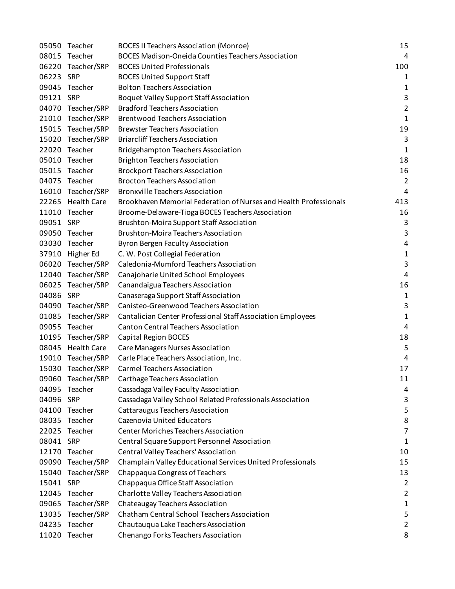| 05050     | Teacher            | <b>BOCES II Teachers Association (Monroe)</b>                     | 15             |
|-----------|--------------------|-------------------------------------------------------------------|----------------|
| 08015     | Teacher            | <b>BOCES Madison-Oneida Counties Teachers Association</b>         | 4              |
| 06220     | Teacher/SRP        | <b>BOCES United Professionals</b>                                 | 100            |
| 06223 SRP |                    | <b>BOCES United Support Staff</b>                                 | 1              |
| 09045     | Teacher            | <b>Bolton Teachers Association</b>                                | 1              |
| 09121 SRP |                    | Boquet Valley Support Staff Association                           | 3              |
| 04070     | Teacher/SRP        | <b>Bradford Teachers Association</b>                              | $\overline{2}$ |
| 21010     | Teacher/SRP        | <b>Brentwood Teachers Association</b>                             | $\mathbf{1}$   |
|           | 15015 Teacher/SRP  | <b>Brewster Teachers Association</b>                              | 19             |
| 15020     | Teacher/SRP        | <b>Briarcliff Teachers Association</b>                            | 3              |
| 22020     | Teacher            | <b>Bridgehampton Teachers Association</b>                         | $\mathbf{1}$   |
|           | 05010 Teacher      | <b>Brighton Teachers Association</b>                              | 18             |
|           | 05015 Teacher      | <b>Brockport Teachers Association</b>                             | 16             |
| 04075     | Teacher            | <b>Brocton Teachers Association</b>                               | $\overline{2}$ |
|           | 16010 Teacher/SRP  | <b>Bronxville Teachers Association</b>                            | 4              |
| 22265     | <b>Health Care</b> | Brookhaven Memorial Federation of Nurses and Health Professionals | 413            |
| 11010     | Teacher            | Broome-Delaware-Tioga BOCES Teachers Association                  | 16             |
| 09051 SRP |                    | <b>Brushton-Moira Support Staff Association</b>                   | 3              |
| 09050     | Teacher            | <b>Brushton-Moira Teachers Association</b>                        | 3              |
| 03030     | Teacher            | Byron Bergen Faculty Association                                  | 4              |
| 37910     | Higher Ed          | C. W. Post Collegial Federation                                   | 1              |
| 06020     | Teacher/SRP        | Caledonia-Mumford Teachers Association                            | 3              |
|           | 12040 Teacher/SRP  | Canajoharie United School Employees                               | 4              |
|           | 06025 Teacher/SRP  | Canandaigua Teachers Association                                  | 16             |
| 04086     | SRP                | Canaseraga Support Staff Association                              | 1              |
| 04090     | Teacher/SRP        | Canisteo-Greenwood Teachers Association                           | 3              |
| 01085     | Teacher/SRP        | Cantalician Center Professional Staff Association Employees       | $\mathbf{1}$   |
| 09055     | Teacher            | <b>Canton Central Teachers Association</b>                        | 4              |
| 10195     | Teacher/SRP        | <b>Capital Region BOCES</b>                                       | 18             |
|           | 08045 Health Care  | Care Managers Nurses Association                                  | 5              |
| 19010     | Teacher/SRP        | Carle Place Teachers Association, Inc.                            | 4              |
|           | 15030 Teacher/SRP  | <b>Carmel Teachers Association</b>                                | 17             |
|           | 09060 Teacher/SRP  | Carthage Teachers Association                                     | 11             |
| 04095     | Teacher            | Cassadaga Valley Faculty Association                              | 4              |
| 04096 SRP |                    | Cassadaga Valley School Related Professionals Association         | 3              |
| 04100     | Teacher            | Cattaraugus Teachers Association                                  | 5              |
| 08035     | Teacher            | Cazenovia United Educators                                        | 8              |
| 22025     | Teacher            | <b>Center Moriches Teachers Association</b>                       | $\overline{7}$ |
| 08041 SRP |                    | Central Square Support Personnel Association                      | 1              |
| 12170     | Teacher            | Central Valley Teachers' Association                              | 10             |
| 09090     | Teacher/SRP        | Champlain Valley Educational Services United Professionals        | 15             |
| 15040     | Teacher/SRP        | Chappaqua Congress of Teachers                                    | 13             |
| 15041     | SRP                | Chappaqua Office Staff Association                                | $\overline{2}$ |
| 12045     | Teacher            | Charlotte Valley Teachers Association                             | $\overline{2}$ |
| 09065     | Teacher/SRP        | Chateaugay Teachers Association                                   | 1              |
| 13035     | Teacher/SRP        | Chatham Central School Teachers Association                       | 5              |
| 04235     | Teacher            | Chautauqua Lake Teachers Association                              | $\overline{2}$ |
| 11020     | Teacher            | Chenango Forks Teachers Association                               | 8              |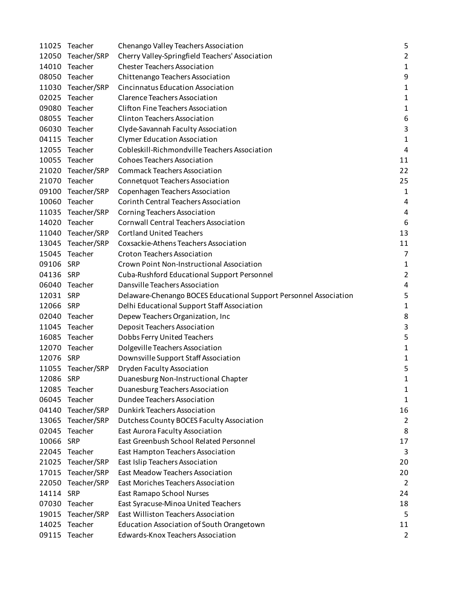|           | 11025 Teacher     | Chenango Valley Teachers Association                              | 5              |
|-----------|-------------------|-------------------------------------------------------------------|----------------|
|           | 12050 Teacher/SRP | Cherry Valley-Springfield Teachers' Association                   | $\overline{2}$ |
|           | 14010 Teacher     | <b>Chester Teachers Association</b>                               | 1              |
|           | 08050 Teacher     | Chittenango Teachers Association                                  | 9              |
|           | 11030 Teacher/SRP | <b>Cincinnatus Education Association</b>                          | 1              |
|           | 02025 Teacher     | <b>Clarence Teachers Association</b>                              | 1              |
|           | 09080 Teacher     | <b>Clifton Fine Teachers Association</b>                          | 1              |
|           | 08055 Teacher     | <b>Clinton Teachers Association</b>                               | 6              |
|           | 06030 Teacher     | Clyde-Savannah Faculty Association                                | 3              |
|           | 04115 Teacher     | <b>Clymer Education Association</b>                               | 1              |
|           | 12055 Teacher     | Cobleskill-Richmondville Teachers Association                     | 4              |
|           | 10055 Teacher     | <b>Cohoes Teachers Association</b>                                | 11             |
|           | 21020 Teacher/SRP | <b>Commack Teachers Association</b>                               | 22             |
|           | 21070 Teacher     | Connetquot Teachers Association                                   | 25             |
|           | 09100 Teacher/SRP | Copenhagen Teachers Association                                   | 1              |
|           | 10060 Teacher     | <b>Corinth Central Teachers Association</b>                       | 4              |
|           | 11035 Teacher/SRP | <b>Corning Teachers Association</b>                               | 4              |
|           | 14020 Teacher     | <b>Cornwall Central Teachers Association</b>                      | 6              |
|           | 11040 Teacher/SRP | <b>Cortland United Teachers</b>                                   | 13             |
|           | 13045 Teacher/SRP | Coxsackie-Athens Teachers Association                             | 11             |
|           | 15045 Teacher     | <b>Croton Teachers Association</b>                                | $\overline{7}$ |
| 09106 SRP |                   | Crown Point Non-Instructional Association                         | 1              |
| 04136 SRP |                   | Cuba-Rushford Educational Support Personnel                       | $\overline{2}$ |
|           | 06040 Teacher     | Dansville Teachers Association                                    | 4              |
| 12031 SRP |                   | Delaware-Chenango BOCES Educational Support Personnel Association | 5              |
| 12066 SRP |                   | Delhi Educational Support Staff Association                       | 1              |
|           | 02040 Teacher     | Depew Teachers Organization, Inc                                  | 8              |
|           | 11045 Teacher     | Deposit Teachers Association                                      | 3              |
|           | 16085 Teacher     | Dobbs Ferry United Teachers                                       | 5              |
|           | 12070 Teacher     | Dolgeville Teachers Association                                   | 1              |
| 12076 SRP |                   | Downsville Support Staff Association                              | 1              |
|           | 11055 Teacher/SRP | <b>Dryden Faculty Association</b>                                 | 5              |
| 12086 SRP |                   | Duanesburg Non-Instructional Chapter                              | 1              |
| 12085     | Teacher           | Duanesburg Teachers Association                                   | 1              |
| 06045     | Teacher           | Dundee Teachers Association                                       | 1              |
| 04140     | Teacher/SRP       | <b>Dunkirk Teachers Association</b>                               | 16             |
| 13065     | Teacher/SRP       | Dutchess County BOCES Faculty Association                         | $\overline{2}$ |
| 02045     | Teacher           | East Aurora Faculty Association                                   | 8              |
| 10066     | SRP               | East Greenbush School Related Personnel                           | 17             |
|           | 22045 Teacher     | East Hampton Teachers Association                                 | 3              |
| 21025     | Teacher/SRP       | East Islip Teachers Association                                   | 20             |
|           | 17015 Teacher/SRP | <b>East Meadow Teachers Association</b>                           | 20             |
|           | 22050 Teacher/SRP | East Moriches Teachers Association                                | $\overline{2}$ |
| 14114 SRP |                   | East Ramapo School Nurses                                         | 24             |
|           | 07030 Teacher     | East Syracuse-Minoa United Teachers                               | 18             |
|           | 19015 Teacher/SRP | East Williston Teachers Association                               | 5              |
| 14025     | Teacher           | Education Association of South Orangetown                         | 11             |
| 09115     | Teacher           | Edwards-Knox Teachers Association                                 | $\overline{c}$ |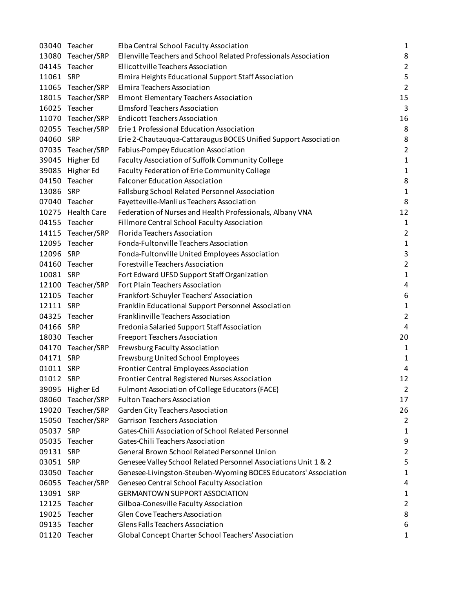|           | 03040 Teacher     | Elba Central School Faculty Association                          | $\mathbf 1$    |
|-----------|-------------------|------------------------------------------------------------------|----------------|
|           | 13080 Teacher/SRP | Ellenville Teachers and School Related Professionals Association | 8              |
|           | 04145 Teacher     | Ellicottville Teachers Association                               | $\overline{2}$ |
| 11061 SRP |                   | Elmira Heights Educational Support Staff Association             | 5              |
|           | 11065 Teacher/SRP | Elmira Teachers Association                                      | $\overline{2}$ |
|           | 18015 Teacher/SRP | Elmont Elementary Teachers Association                           | 15             |
|           | 16025 Teacher     | <b>Elmsford Teachers Association</b>                             | 3              |
|           | 11070 Teacher/SRP | <b>Endicott Teachers Association</b>                             | 16             |
|           | 02055 Teacher/SRP | Erie 1 Professional Education Association                        | 8              |
| 04060 SRP |                   | Erie 2-Chautauqua-Cattaraugus BOCES Unified Support Association  | 8              |
|           | 07035 Teacher/SRP | Fabius-Pompey Education Association                              | $\overline{c}$ |
|           | 39045 Higher Ed   | Faculty Association of Suffolk Community College                 | $\mathbf{1}$   |
|           | 39085 Higher Ed   | Faculty Federation of Erie Community College                     | $\mathbf 1$    |
|           | 04150 Teacher     | <b>Falconer Education Association</b>                            | 8              |
| 13086 SRP |                   | Fallsburg School Related Personnel Association                   | $\mathbf 1$    |
|           | 07040 Teacher     | Fayetteville-Manlius Teachers Association                        | 8              |
|           | 10275 Health Care | Federation of Nurses and Health Professionals, Albany VNA        | 12             |
|           | 04155 Teacher     | Fillmore Central School Faculty Association                      | $\mathbf{1}$   |
|           | 14115 Teacher/SRP | Florida Teachers Association                                     | $\overline{2}$ |
|           | 12095 Teacher     | Fonda-Fultonville Teachers Association                           | $\mathbf 1$    |
| 12096 SRP |                   | Fonda-Fultonville United Employees Association                   | 3              |
|           | 04160 Teacher     | Forestville Teachers Association                                 | $\overline{2}$ |
| 10081 SRP |                   | Fort Edward UFSD Support Staff Organization                      | $\mathbf 1$    |
|           | 12100 Teacher/SRP | Fort Plain Teachers Association                                  | 4              |
|           | 12105 Teacher     | Frankfort-Schuyler Teachers' Association                         | 6              |
| 12111 SRP |                   | Franklin Educational Support Personnel Association               | $\mathbf 1$    |
|           | 04325 Teacher     | Franklinville Teachers Association                               | $\overline{2}$ |
| 04166 SRP |                   | Fredonia Salaried Support Staff Association                      | 4              |
|           | 18030 Teacher     | <b>Freeport Teachers Association</b>                             | 20             |
|           | 04170 Teacher/SRP | Frewsburg Faculty Association                                    | 1              |
| 04171 SRP |                   | Frewsburg United School Employees                                | 1              |
| 01011 SRP |                   | Frontier Central Employees Association                           | 4              |
| 01012 SRP |                   | Frontier Central Registered Nurses Association                   | 12             |
|           | 39095 Higher Ed   | Fulmont Association of College Educators (FACE)                  | $\overline{2}$ |
|           | 08060 Teacher/SRP | <b>Fulton Teachers Association</b>                               | 17             |
|           | 19020 Teacher/SRP | Garden City Teachers Association                                 | 26             |
|           | 15050 Teacher/SRP | <b>Garrison Teachers Association</b>                             | $\overline{2}$ |
| 05037 SRP |                   | Gates-Chili Association of School Related Personnel              | 1              |
|           | 05035 Teacher     | Gates-Chili Teachers Association                                 | 9              |
| 09131 SRP |                   | General Brown School Related Personnel Union                     | $\overline{2}$ |
| 03051 SRP |                   | Genesee Valley School Related Personnel Associations Unit 1 & 2  | 5              |
|           | 03050 Teacher     | Genesee-Livingston-Steuben-Wyoming BOCES Educators' Association  | $\mathbf{1}$   |
|           | 06055 Teacher/SRP | Geneseo Central School Faculty Association                       | 4              |
| 13091 SRP |                   | <b>GERMANTOWN SUPPORT ASSOCIATION</b>                            | 1              |
|           | 12125 Teacher     | Gilboa-Conesville Faculty Association                            | $\overline{2}$ |
|           | 19025 Teacher     | Glen Cove Teachers Association                                   | 8              |
|           | 09135 Teacher     | <b>Glens Falls Teachers Association</b>                          | 6              |
|           | 01120 Teacher     | Global Concept Charter School Teachers' Association              | $\mathbf{1}$   |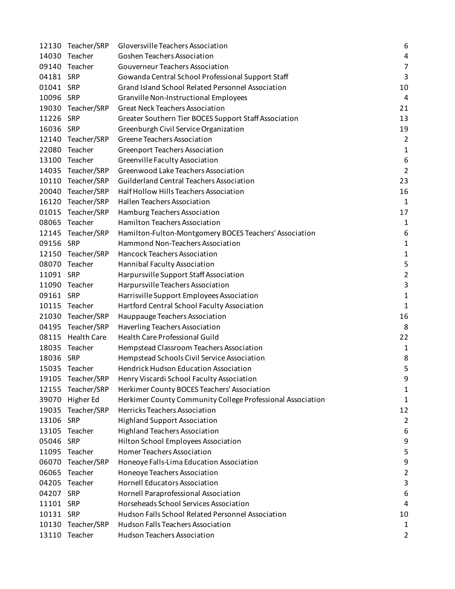|           | 12130 Teacher/SRP | Gloversville Teachers Association                          | 6              |
|-----------|-------------------|------------------------------------------------------------|----------------|
|           | 14030 Teacher     | Goshen Teachers Association                                | 4              |
|           | 09140 Teacher     | <b>Gouverneur Teachers Association</b>                     | $\overline{7}$ |
| 04181 SRP |                   | Gowanda Central School Professional Support Staff          | 3              |
| 01041     | SRP               | Grand Island School Related Personnel Association          | 10             |
| 10096 SRP |                   | Granville Non-Instructional Employees                      | 4              |
|           | 19030 Teacher/SRP | <b>Great Neck Teachers Association</b>                     | 21             |
| 11226     | SRP               | Greater Southern Tier BOCES Support Staff Association      | 13             |
| 16036 SRP |                   | Greenburgh Civil Service Organization                      | 19             |
|           | 12140 Teacher/SRP | Greene Teachers Association                                | $\overline{2}$ |
| 22080     | Teacher           | Greenport Teachers Association                             | 1              |
|           | 13100 Teacher     | Greenville Faculty Association                             | 6              |
|           | 14035 Teacher/SRP | Greenwood Lake Teachers Association                        | $\overline{2}$ |
|           | 10110 Teacher/SRP | Guilderland Central Teachers Association                   | 23             |
|           | 20040 Teacher/SRP | Half Hollow Hills Teachers Association                     | 16             |
|           | 16120 Teacher/SRP | Hallen Teachers Association                                | $\mathbf{1}$   |
|           | 01015 Teacher/SRP | Hamburg Teachers Association                               | 17             |
|           | 08065 Teacher     | Hamilton Teachers Association                              | 1              |
|           | 12145 Teacher/SRP | Hamilton-Fulton-Montgomery BOCES Teachers' Association     | 6              |
| 09156 SRP |                   | Hammond Non-Teachers Association                           | 1              |
|           | 12150 Teacher/SRP | Hancock Teachers Association                               | 1              |
|           | 08070 Teacher     | Hannibal Faculty Association                               | 5              |
| 11091 SRP |                   | Harpursville Support Staff Association                     | $\overline{2}$ |
|           | 11090 Teacher     | Harpursville Teachers Association                          | 3              |
| 09161 SRP |                   | Harrisville Support Employees Association                  | $\mathbf 1$    |
|           | 10115 Teacher     | Hartford Central School Faculty Association                | 1              |
|           | 21030 Teacher/SRP | Hauppauge Teachers Association                             | 16             |
|           | 04195 Teacher/SRP | Haverling Teachers Association                             | 8              |
|           | 08115 Health Care | Health Care Professional Guild                             | 22             |
|           | 18035 Teacher     | Hempstead Classroom Teachers Association                   | $\mathbf 1$    |
| 18036 SRP |                   | Hempstead Schools Civil Service Association                | 8              |
|           | 15035 Teacher     | <b>Hendrick Hudson Education Association</b>               | 5              |
|           | 19105 Teacher/SRP | Henry Viscardi School Faculty Association                  | 9              |
| 12155     | Teacher/SRP       | Herkimer County BOCES Teachers' Association                | 1              |
| 39070     | Higher Ed         | Herkimer County Community College Professional Association | 1              |
|           | 19035 Teacher/SRP | Herricks Teachers Association                              | 12             |
| 13106 SRP |                   | <b>Highland Support Association</b>                        | $\overline{2}$ |
| 13105     | Teacher           | <b>Highland Teachers Association</b>                       | 6              |
| 05046     | <b>SRP</b>        | Hilton School Employees Association                        | 9              |
|           | 11095 Teacher     | Homer Teachers Association                                 | 5              |
| 06070     | Teacher/SRP       | Honeoye Falls-Lima Education Association                   | 9              |
| 06065     | Teacher           | Honeoye Teachers Association                               | 2              |
| 04205     | Teacher           | <b>Hornell Educators Association</b>                       | 3              |
| 04207     | <b>SRP</b>        | Hornell Paraprofessional Association                       | 6              |
| 11101 SRP |                   | Horseheads School Services Association                     | 4              |
| 10131 SRP |                   | Hudson Falls School Related Personnel Association          | 10             |
|           | 10130 Teacher/SRP | <b>Hudson Falls Teachers Association</b>                   | 1              |
|           | 13110 Teacher     | <b>Hudson Teachers Association</b>                         | 2              |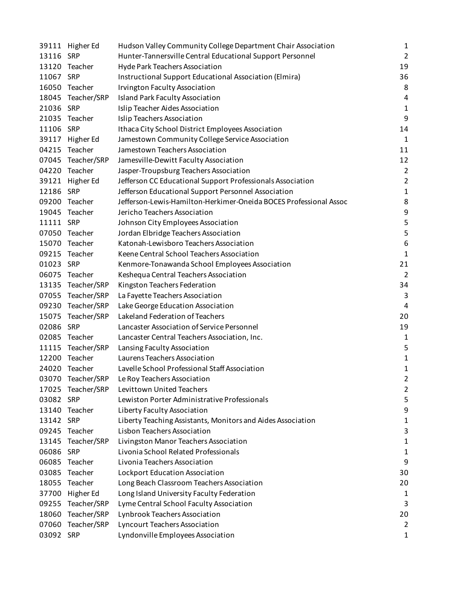|           | 39111 Higher Ed   | Hudson Valley Community College Department Chair Association      | $\mathbf{1}$   |
|-----------|-------------------|-------------------------------------------------------------------|----------------|
| 13116 SRP |                   | Hunter-Tannersville Central Educational Support Personnel         | $\overline{2}$ |
|           | 13120 Teacher     | Hyde Park Teachers Association                                    | 19             |
| 11067 SRP |                   | Instructional Support Educational Association (Elmira)            | 36             |
|           | 16050 Teacher     | <b>Irvington Faculty Association</b>                              | 8              |
|           | 18045 Teacher/SRP | <b>Island Park Faculty Association</b>                            | 4              |
| 21036 SRP |                   | Islip Teacher Aides Association                                   | $\mathbf{1}$   |
|           | 21035 Teacher     | Islip Teachers Association                                        | 9              |
| 11106 SRP |                   | Ithaca City School District Employees Association                 | 14             |
| 39117     | Higher Ed         | Jamestown Community College Service Association                   | $\mathbf{1}$   |
| 04215     | Teacher           | Jamestown Teachers Association                                    | 11             |
|           | 07045 Teacher/SRP | Jamesville-Dewitt Faculty Association                             | 12             |
|           | 04220 Teacher     | Jasper-Troupsburg Teachers Association                            | $\overline{2}$ |
| 39121     | Higher Ed         | Jefferson CC Educational Support Professionals Association        | $\overline{2}$ |
| 12186 SRP |                   | Jefferson Educational Support Personnel Association               | $\mathbf 1$    |
|           | 09200 Teacher     | Jefferson-Lewis-Hamilton-Herkimer-Oneida BOCES Professional Assoc | 8              |
|           | 19045 Teacher     | Jericho Teachers Association                                      | 9              |
| 11111 SRP |                   | Johnson City Employees Association                                | 5              |
|           | 07050 Teacher     | Jordan Elbridge Teachers Association                              | 5              |
|           | 15070 Teacher     | Katonah-Lewisboro Teachers Association                            | 6              |
|           | 09215 Teacher     | Keene Central School Teachers Association                         | $\mathbf{1}$   |
| 01023 SRP |                   | Kenmore-Tonawanda School Employees Association                    | 21             |
|           | 06075 Teacher     | Keshequa Central Teachers Association                             | $\overline{2}$ |
|           | 13135 Teacher/SRP | Kingston Teachers Federation                                      | 34             |
|           | 07055 Teacher/SRP | La Fayette Teachers Association                                   | 3              |
|           | 09230 Teacher/SRP | Lake George Education Association                                 | 4              |
|           | 15075 Teacher/SRP | Lakeland Federation of Teachers                                   | 20             |
| 02086     | <b>SRP</b>        | Lancaster Association of Service Personnel                        | 19             |
| 02085     | Teacher           | Lancaster Central Teachers Association, Inc.                      | 1              |
|           | 11115 Teacher/SRP | Lansing Faculty Association                                       | 5              |
|           | 12200 Teacher     | Laurens Teachers Association                                      | $\mathbf{1}$   |
|           | 24020 Teacher     | Lavelle School Professional Staff Association                     | 1              |
|           | 03070 Teacher/SRP | Le Roy Teachers Association                                       | 2              |
|           | 17025 Teacher/SRP | <b>Levittown United Teachers</b>                                  | $\overline{2}$ |
| 03082 SRP |                   | Lewiston Porter Administrative Professionals                      | 5              |
|           | 13140 Teacher     | Liberty Faculty Association                                       | 9              |
| 13142     | <b>SRP</b>        | Liberty Teaching Assistants, Monitors and Aides Association       | 1              |
| 09245     | Teacher           | Lisbon Teachers Association                                       | 3              |
| 13145     | Teacher/SRP       | Livingston Manor Teachers Association                             | 1              |
| 06086     | <b>SRP</b>        | Livonia School Related Professionals                              | 1              |
| 06085     | Teacher           | Livonia Teachers Association                                      | 9              |
| 03085     | Teacher           | Lockport Education Association                                    | 30             |
| 18055     | Teacher           | Long Beach Classroom Teachers Association                         | 20             |
| 37700     | Higher Ed         | Long Island University Faculty Federation                         | 1              |
| 09255     | Teacher/SRP       | Lyme Central School Faculty Association                           | 3              |
| 18060     | Teacher/SRP       | Lynbrook Teachers Association                                     | 20             |
|           | 07060 Teacher/SRP | <b>Lyncourt Teachers Association</b>                              | $\overline{2}$ |
| 03092 SRP |                   | Lyndonville Employees Association                                 | 1              |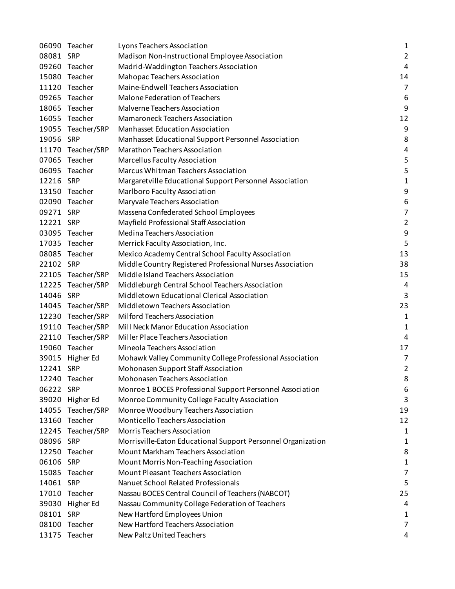|           | 06090 Teacher     | Lyons Teachers Association                                   | 1              |
|-----------|-------------------|--------------------------------------------------------------|----------------|
| 08081 SRP |                   | Madison Non-Instructional Employee Association               | $\overline{2}$ |
|           | 09260 Teacher     | Madrid-Waddington Teachers Association                       | 4              |
|           | 15080 Teacher     | Mahopac Teachers Association                                 | 14             |
|           | 11120 Teacher     | Maine-Endwell Teachers Association                           | $\overline{7}$ |
|           | 09265 Teacher     | Malone Federation of Teachers                                | 6              |
|           | 18065 Teacher     | Malverne Teachers Association                                | 9              |
|           | 16055 Teacher     | Mamaroneck Teachers Association                              | 12             |
|           | 19055 Teacher/SRP | <b>Manhasset Education Association</b>                       | 9              |
| 19056 SRP |                   | Manhasset Educational Support Personnel Association          | 8              |
|           | 11170 Teacher/SRP | Marathon Teachers Association                                | 4              |
|           | 07065 Teacher     | Marcellus Faculty Association                                | 5              |
|           | 06095 Teacher     | Marcus Whitman Teachers Association                          | 5              |
| 12216 SRP |                   | Margaretville Educational Support Personnel Association      | 1              |
|           | 13150 Teacher     | Marlboro Faculty Association                                 | 9              |
|           | 02090 Teacher     | Maryvale Teachers Association                                | 6              |
| 09271 SRP |                   | Massena Confederated School Employees                        | $\overline{7}$ |
| 12221 SRP |                   | Mayfield Professional Staff Association                      | $\overline{2}$ |
|           | 03095 Teacher     | Medina Teachers Association                                  | 9              |
|           | 17035 Teacher     | Merrick Faculty Association, Inc.                            | 5              |
|           | 08085 Teacher     | Mexico Academy Central School Faculty Association            | 13             |
| 22102 SRP |                   | Middle Country Registered Professional Nurses Association    | 38             |
|           | 22105 Teacher/SRP | Middle Island Teachers Association                           | 15             |
|           | 12225 Teacher/SRP | Middleburgh Central School Teachers Association              | 4              |
| 14046 SRP |                   | Middletown Educational Clerical Association                  | 3              |
|           | 14045 Teacher/SRP | Middletown Teachers Association                              | 23             |
|           | 12230 Teacher/SRP | Milford Teachers Association                                 | $\mathbf 1$    |
|           | 19110 Teacher/SRP | Mill Neck Manor Education Association                        | 1              |
|           | 22110 Teacher/SRP | Miller Place Teachers Association                            | 4              |
|           | 19060 Teacher     | Mineola Teachers Association                                 | 17             |
| 39015     | Higher Ed         | Mohawk Valley Community College Professional Association     | $\overline{7}$ |
| 12241 SRP |                   | Mohonasen Support Staff Association                          | 2              |
|           | 12240 Teacher     | Mohonasen Teachers Association                               | 8              |
| 06222 SRP |                   | Monroe 1 BOCES Professional Support Personnel Association    | 6              |
| 39020     | Higher Ed         | Monroe Community College Faculty Association                 | 3              |
| 14055     | Teacher/SRP       | Monroe Woodbury Teachers Association                         | 19             |
| 13160     | Teacher           | Monticello Teachers Association                              | 12             |
| 12245     | Teacher/SRP       | <b>Morris Teachers Association</b>                           | 1              |
| 08096 SRP |                   | Morrisville-Eaton Educational Support Personnel Organization | 1              |
|           | 12250 Teacher     | Mount Markham Teachers Association                           | 8              |
| 06106     | SRP               | Mount Morris Non-Teaching Association                        | 1              |
| 15085     | Teacher           | Mount Pleasant Teachers Association                          | $\overline{7}$ |
| 14061 SRP |                   | Nanuet School Related Professionals                          | 5              |
| 17010     | Teacher           | Nassau BOCES Central Council of Teachers (NABCOT)            | 25             |
|           | 39030 Higher Ed   | Nassau Community College Federation of Teachers              | 4              |
| 08101 SRP |                   | New Hartford Employees Union                                 | 1              |
| 08100     | Teacher           | New Hartford Teachers Association                            | $\overline{7}$ |
|           | 13175 Teacher     | New Paltz United Teachers                                    | 4              |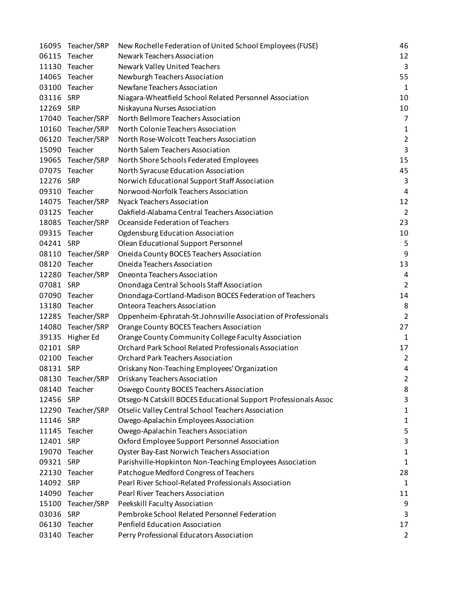|           | 16095 Teacher/SRP | New Rochelle Federation of United School Employees (FUSE)       | 46             |
|-----------|-------------------|-----------------------------------------------------------------|----------------|
|           | 06115 Teacher     | Newark Teachers Association                                     | 12             |
|           | 11130 Teacher     | Newark Valley United Teachers                                   | $\overline{3}$ |
|           | 14065 Teacher     | Newburgh Teachers Association                                   | 55             |
|           | 03100 Teacher     | Newfane Teachers Association                                    | 1              |
| 03116 SRP |                   | Niagara-Wheatfield School Related Personnel Association         | 10             |
| 12269 SRP |                   | Niskayuna Nurses Association                                    | 10             |
|           | 17040 Teacher/SRP | North Bellmore Teachers Association                             | $\overline{7}$ |
|           | 10160 Teacher/SRP | North Colonie Teachers Association                              | 1              |
|           | 06120 Teacher/SRP | North Rose-Wolcott Teachers Association                         | $\overline{2}$ |
|           | 15090 Teacher     | North Salem Teachers Association                                | 3              |
|           | 19065 Teacher/SRP | North Shore Schools Federated Employees                         | 15             |
|           | 07075 Teacher     | North Syracuse Education Association                            | 45             |
| 12276 SRP |                   | Norwich Educational Support Staff Association                   | 3              |
|           | 09310 Teacher     | Norwood-Norfolk Teachers Association                            | 4              |
|           | 14075 Teacher/SRP | <b>Nyack Teachers Association</b>                               | 12             |
|           | 03125 Teacher     | Oakfield-Alabama Central Teachers Association                   | $\overline{2}$ |
|           | 18085 Teacher/SRP | Oceanside Federation of Teachers                                | 23             |
|           | 09315 Teacher     | Ogdensburg Education Association                                | 10             |
| 04241 SRP |                   | Olean Educational Support Personnel                             | 5              |
|           | 08110 Teacher/SRP | Oneida County BOCES Teachers Association                        | 9              |
|           | 08120 Teacher     | Oneida Teachers Association                                     | 13             |
|           | 12280 Teacher/SRP | Oneonta Teachers Association                                    | 4              |
| 07081 SRP |                   | Onondaga Central Schools Staff Association                      | $\overline{2}$ |
|           | 07090 Teacher     | Onondaga-Cortland-Madison BOCES Federation of Teachers          | 14             |
|           | 13180 Teacher     | <b>Onteora Teachers Association</b>                             | 8              |
|           | 12285 Teacher/SRP | Oppenheim-Ephratah-St.Johnsville Association of Professionals   | $\overline{2}$ |
|           | 14080 Teacher/SRP | Orange County BOCES Teachers Association                        | 27             |
|           | 39135 Higher Ed   | Orange County Community College Faculty Association             | 1              |
| 02101 SRP |                   | Orchard Park School Related Professionals Association           | 17             |
|           | 02100 Teacher     | <b>Orchard Park Teachers Association</b>                        | $\overline{2}$ |
| 08131 SRP |                   | Oriskany Non-Teaching Employees' Organization                   | 4              |
|           | 08130 Teacher/SRP | Oriskany Teachers Association                                   | $\overline{2}$ |
|           | 08140 Teacher     | Oswego County BOCES Teachers Association                        | 8              |
| 12456 SRP |                   | Otsego-N Catskill BOCES Educational Support Professionals Assoc | 3              |
|           | 12290 Teacher/SRP | Otselic Valley Central School Teachers Association              | 1              |
| 11146 SRP |                   | Owego-Apalachin Employees Association                           | 1              |
|           | 11145 Teacher     | Owego-Apalachin Teachers Association                            | 5              |
| 12401 SRP |                   | Oxford Employee Support Personnel Association                   | 3              |
|           | 19070 Teacher     | <b>Oyster Bay-East Norwich Teachers Association</b>             | 1              |
| 09321     | <b>SRP</b>        | Parishville-Hopkinton Non-Teaching Employees Association        | 1              |
|           | 22130 Teacher     | Patchogue Medford Congress of Teachers                          | 28             |
| 14092 SRP |                   | Pearl River School-Related Professionals Association            | 1              |
|           | 14090 Teacher     | Pearl River Teachers Association                                | 11             |
|           | 15100 Teacher/SRP | Peekskill Faculty Association                                   | 9              |
| 03036 SRP |                   | Pembroke School Related Personnel Federation                    | 3              |
|           | 06130 Teacher     | Penfield Education Association                                  | 17             |
|           | 03140 Teacher     | Perry Professional Educators Association                        | 2              |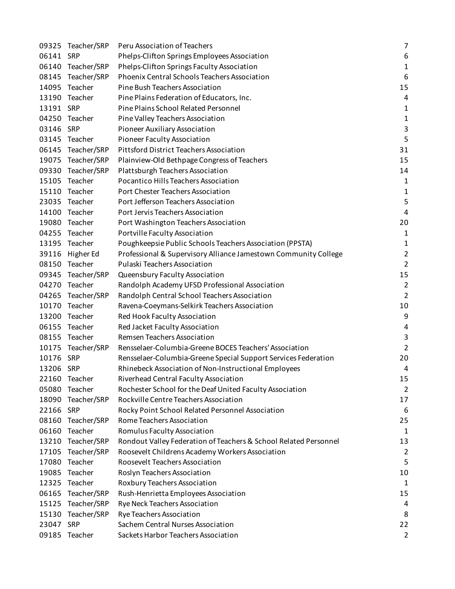|           | 09325 Teacher/SRP | Peru Association of Teachers                                     | $\overline{7}$   |
|-----------|-------------------|------------------------------------------------------------------|------------------|
| 06141 SRP |                   | Phelps-Clifton Springs Employees Association                     | 6                |
|           | 06140 Teacher/SRP | Phelps-Clifton Springs Faculty Association                       | $\mathbf{1}$     |
|           | 08145 Teacher/SRP | Phoenix Central Schools Teachers Association                     | 6                |
| 14095     | Teacher           | Pine Bush Teachers Association                                   | 15               |
|           | 13190 Teacher     | Pine Plains Federation of Educators, Inc.                        | 4                |
| 13191 SRP |                   | Pine Plains School Related Personnel                             | 1                |
|           | 04250 Teacher     | Pine Valley Teachers Association                                 | $\mathbf 1$      |
| 03146     | SRP               | Pioneer Auxiliary Association                                    | $\mathsf 3$      |
|           | 03145 Teacher     | Pioneer Faculty Association                                      | 5                |
|           | 06145 Teacher/SRP | <b>Pittsford District Teachers Association</b>                   | 31               |
|           | 19075 Teacher/SRP | Plainview-Old Bethpage Congress of Teachers                      | 15               |
|           | 09330 Teacher/SRP | Plattsburgh Teachers Association                                 | 14               |
| 15105     | Teacher           | Pocantico Hills Teachers Association                             | 1                |
|           | 15110 Teacher     | Port Chester Teachers Association                                | 1                |
|           | 23035 Teacher     | Port Jefferson Teachers Association                              | 5                |
| 14100     | Teacher           | Port Jervis Teachers Association                                 | $\pmb{4}$        |
|           | 19080 Teacher     | Port Washington Teachers Association                             | 20               |
|           | 04255 Teacher     | Portville Faculty Association                                    | 1                |
|           | 13195 Teacher     | Poughkeepsie Public Schools Teachers Association (PPSTA)         | $\mathbf{1}$     |
|           | 39116 Higher Ed   | Professional & Supervisory Alliance Jamestown Community College  | $\overline{2}$   |
|           | 08150 Teacher     | Pulaski Teachers Association                                     | $\overline{2}$   |
| 09345     | Teacher/SRP       | Queensbury Faculty Association                                   | 15               |
|           | 04270 Teacher     | Randolph Academy UFSD Professional Association                   | $\overline{2}$   |
|           | 04265 Teacher/SRP | Randolph Central School Teachers Association                     | $\overline{2}$   |
| 10170     | Teacher           | Ravena-Coeymans-Selkirk Teachers Association                     | 10               |
|           | 13200 Teacher     | Red Hook Faculty Association                                     | $\boldsymbol{9}$ |
|           | 06155 Teacher     | Red Jacket Faculty Association                                   | $\pmb{4}$        |
|           | 08155 Teacher     | Remsen Teachers Association                                      | 3                |
|           | 10175 Teacher/SRP | Rensselaer-Columbia-Greene BOCES Teachers' Association           | $\overline{2}$   |
| 10176     | SRP               | Rensselaer-Columbia-Greene Special Support Services Federation   | 20               |
| 13206 SRP |                   | Rhinebeck Association of Non-Instructional Employees             | 4                |
|           | 22160 Teacher     | Riverhead Central Faculty Association                            | 15               |
| 05080     | Teacher           | Rochester School for the Deaf United Faculty Association         | $\overline{2}$   |
| 18090     | Teacher/SRP       | Rockville Centre Teachers Association                            | 17               |
| 22166     | SRP               | Rocky Point School Related Personnel Association                 | 6                |
| 08160     | Teacher/SRP       | Rome Teachers Association                                        | 25               |
| 06160     | Teacher           | Romulus Faculty Association                                      | 1                |
|           | 13210 Teacher/SRP | Rondout Valley Federation of Teachers & School Related Personnel | 13               |
|           | 17105 Teacher/SRP | Roosevelt Childrens Academy Workers Association                  | $\overline{2}$   |
| 17080     | Teacher           | Roosevelt Teachers Association                                   | 5                |
| 19085     | Teacher           | Roslyn Teachers Association                                      | 10               |
| 12325     | Teacher           | Roxbury Teachers Association                                     | 1                |
| 06165     | Teacher/SRP       | Rush-Henrietta Employees Association                             | 15               |
|           | 15125 Teacher/SRP | Rye Neck Teachers Association                                    | 4                |
| 15130     | Teacher/SRP       | Rye Teachers Association                                         | 8                |
| 23047 SRP |                   | Sachem Central Nurses Association                                | 22               |
|           | 09185 Teacher     | Sackets Harbor Teachers Association                              | $\overline{2}$   |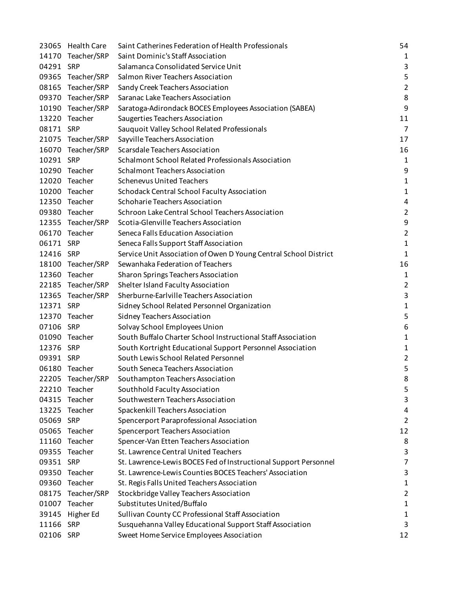|           | 23065 Health Care | Saint Catherines Federation of Health Professionals              | 54             |
|-----------|-------------------|------------------------------------------------------------------|----------------|
|           | 14170 Teacher/SRP | Saint Dominic's Staff Association                                | $\mathbf{1}$   |
| 04291 SRP |                   | Salamanca Consolidated Service Unit                              | 3              |
|           | 09365 Teacher/SRP | Salmon River Teachers Association                                | 5              |
|           | 08165 Teacher/SRP | Sandy Creek Teachers Association                                 | $\overline{2}$ |
|           | 09370 Teacher/SRP | Saranac Lake Teachers Association                                | 8              |
|           | 10190 Teacher/SRP | Saratoga-Adirondack BOCES Employees Association (SABEA)          | 9              |
|           | 13220 Teacher     | Saugerties Teachers Association                                  | 11             |
| 08171 SRP |                   | Sauquoit Valley School Related Professionals                     | $\overline{7}$ |
|           | 21075 Teacher/SRP | Sayville Teachers Association                                    | 17             |
|           | 16070 Teacher/SRP | Scarsdale Teachers Association                                   | 16             |
| 10291 SRP |                   | Schalmont School Related Professionals Association               | 1              |
|           | 10290 Teacher     | <b>Schalmont Teachers Association</b>                            | 9              |
|           | 12020 Teacher     | <b>Schenevus United Teachers</b>                                 | $\mathbf{1}$   |
|           | 10200 Teacher     | Schodack Central School Faculty Association                      | $\mathbf 1$    |
|           | 12350 Teacher     | Schoharie Teachers Association                                   | 4              |
|           | 09380 Teacher     | Schroon Lake Central School Teachers Association                 | $\overline{2}$ |
|           | 12355 Teacher/SRP | Scotia-Glenville Teachers Association                            | 9              |
|           | 06170 Teacher     | Seneca Falls Education Association                               | $\overline{2}$ |
| 06171 SRP |                   | Seneca Falls Support Staff Association                           | $\mathbf 1$    |
| 12416 SRP |                   | Service Unit Association of Owen D Young Central School District | $\mathbf 1$    |
|           | 18100 Teacher/SRP | Sewanhaka Federation of Teachers                                 | 16             |
| 12360     | Teacher           | Sharon Springs Teachers Association                              | 1              |
|           | 22185 Teacher/SRP | Shelter Island Faculty Association                               | $\overline{c}$ |
|           | 12365 Teacher/SRP | Sherburne-Earlville Teachers Association                         | 3              |
| 12371 SRP |                   | Sidney School Related Personnel Organization                     | 1              |
|           | 12370 Teacher     | Sidney Teachers Association                                      | 5              |
| 07106 SRP |                   | Solvay School Employees Union                                    | 6              |
|           | 01090 Teacher     | South Buffalo Charter School Instructional Staff Association     | 1              |
| 12376 SRP |                   | South Kortright Educational Support Personnel Association        | 1              |
| 09391 SRP |                   | South Lewis School Related Personnel                             | $\overline{2}$ |
|           | 06180 Teacher     | South Seneca Teachers Association                                | 5              |
|           | 22205 Teacher/SRP | Southampton Teachers Association                                 | 8              |
| 22210     | Teacher           | Southhold Faculty Association                                    | 5              |
| 04315     | Teacher           | Southwestern Teachers Association                                | 3              |
| 13225     | Teacher           | Spackenkill Teachers Association                                 | 4              |
| 05069 SRP |                   | Spencerport Paraprofessional Association                         | $\overline{2}$ |
| 05065     | Teacher           | Spencerport Teachers Association                                 | 12             |
| 11160     | Teacher           | Spencer-Van Etten Teachers Association                           | 8              |
|           | 09355 Teacher     | St. Lawrence Central United Teachers                             | 3              |
| 09351 SRP |                   | St. Lawrence-Lewis BOCES Fed of Instructional Support Personnel  | 7              |
| 09350     | Teacher           | St. Lawrence-Lewis Counties BOCES Teachers' Association          | 3              |
| 09360     | Teacher           | St. Regis Falls United Teachers Association                      | 1              |
| 08175     | Teacher/SRP       | Stockbridge Valley Teachers Association                          | $\overline{2}$ |
|           | 01007 Teacher     | Substitutes United/Buffalo                                       | 1              |
| 39145     | Higher Ed         | Sullivan County CC Professional Staff Association                | 1              |
| 11166     | <b>SRP</b>        | Susquehanna Valley Educational Support Staff Association         | 3              |
| 02106 SRP |                   | Sweet Home Service Employees Association                         | 12             |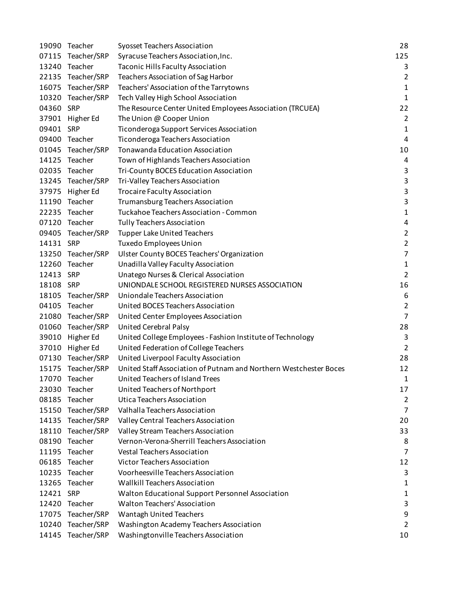|           | 19090 Teacher     | Syosset Teachers Association                                      | 28             |
|-----------|-------------------|-------------------------------------------------------------------|----------------|
|           | 07115 Teacher/SRP | Syracuse Teachers Association, Inc.                               | 125            |
| 13240     | Teacher           | Taconic Hills Faculty Association                                 | 3              |
|           | 22135 Teacher/SRP | Teachers Association of Sag Harbor                                | $\overline{2}$ |
| 16075     | Teacher/SRP       | Teachers' Association of the Tarrytowns                           | $\mathbf 1$    |
|           | 10320 Teacher/SRP | Tech Valley High School Association                               | $\mathbf{1}$   |
| 04360 SRP |                   | The Resource Center United Employees Association (TRCUEA)         | 22             |
|           | 37901 Higher Ed   | The Union @ Cooper Union                                          | $\overline{2}$ |
| 09401 SRP |                   | Ticonderoga Support Services Association                          | $\mathbf 1$    |
|           | 09400 Teacher     | Ticonderoga Teachers Association                                  | $\pmb{4}$      |
| 01045     | Teacher/SRP       | <b>Tonawanda Education Association</b>                            | 10             |
|           | 14125 Teacher     | Town of Highlands Teachers Association                            | 4              |
|           | 02035 Teacher     | Tri-County BOCES Education Association                            | 3              |
|           | 13245 Teacher/SRP | Tri-Valley Teachers Association                                   | 3              |
|           | 37975 Higher Ed   | <b>Trocaire Faculty Association</b>                               | 3              |
| 11190     | Teacher           | Trumansburg Teachers Association                                  | 3              |
| 22235     | Teacher           | Tuckahoe Teachers Association - Common                            | $\mathbf 1$    |
|           | 07120 Teacher     | <b>Tully Teachers Association</b>                                 | 4              |
|           | 09405 Teacher/SRP | <b>Tupper Lake United Teachers</b>                                | $\overline{2}$ |
| 14131 SRP |                   | <b>Tuxedo Employees Union</b>                                     | $\overline{2}$ |
|           | 13250 Teacher/SRP | Ulster County BOCES Teachers' Organization                        | $\overline{7}$ |
| 12260     | Teacher           | Unadilla Valley Faculty Association                               | $\mathbf 1$    |
| 12413 SRP |                   | Unatego Nurses & Clerical Association                             | $\overline{2}$ |
| 18108 SRP |                   | UNIONDALE SCHOOL REGISTERED NURSES ASSOCIATION                    | 16             |
| 18105     | Teacher/SRP       | Uniondale Teachers Association                                    | 6              |
| 04105     | Teacher           | United BOCES Teachers Association                                 | $\overline{2}$ |
|           | 21080 Teacher/SRP | United Center Employees Association                               | $\overline{7}$ |
|           | 01060 Teacher/SRP | United Cerebral Palsy                                             | 28             |
| 39010     | Higher Ed         | United College Employees - Fashion Institute of Technology        | 3              |
| 37010     | Higher Ed         | United Federation of College Teachers                             | $\overline{2}$ |
| 07130     | Teacher/SRP       | United Liverpool Faculty Association                              | 28             |
|           | 15175 Teacher/SRP | United Staff Association of Putnam and Northern Westchester Boces | 12             |
| 17070     | Teacher           | United Teachers of Island Trees                                   | 1              |
| 23030     | Teacher           | United Teachers of Northport                                      | 17             |
| 08185     | Teacher           | Utica Teachers Association                                        | $\overline{2}$ |
| 15150     | Teacher/SRP       | Valhalla Teachers Association                                     | 7              |
| 14135     | Teacher/SRP       | Valley Central Teachers Association                               | 20             |
| 18110     | Teacher/SRP       | Valley Stream Teachers Association                                | 33             |
| 08190     | Teacher           | Vernon-Verona-Sherrill Teachers Association                       | 8              |
| 11195     | Teacher           | <b>Vestal Teachers Association</b>                                | 7              |
| 06185     | Teacher           | <b>Victor Teachers Association</b>                                | 12             |
| 10235     | Teacher           | Voorheesville Teachers Association                                | 3              |
| 13265     | Teacher           | <b>Wallkill Teachers Association</b>                              | 1              |
| 12421 SRP |                   | Walton Educational Support Personnel Association                  | 1              |
| 12420     | Teacher           | Walton Teachers' Association                                      | 3              |
| 17075     | Teacher/SRP       | Wantagh United Teachers                                           | 9              |
| 10240     | Teacher/SRP       | Washington Academy Teachers Association                           | 2              |
|           | 14145 Teacher/SRP | Washingtonville Teachers Association                              | 10             |